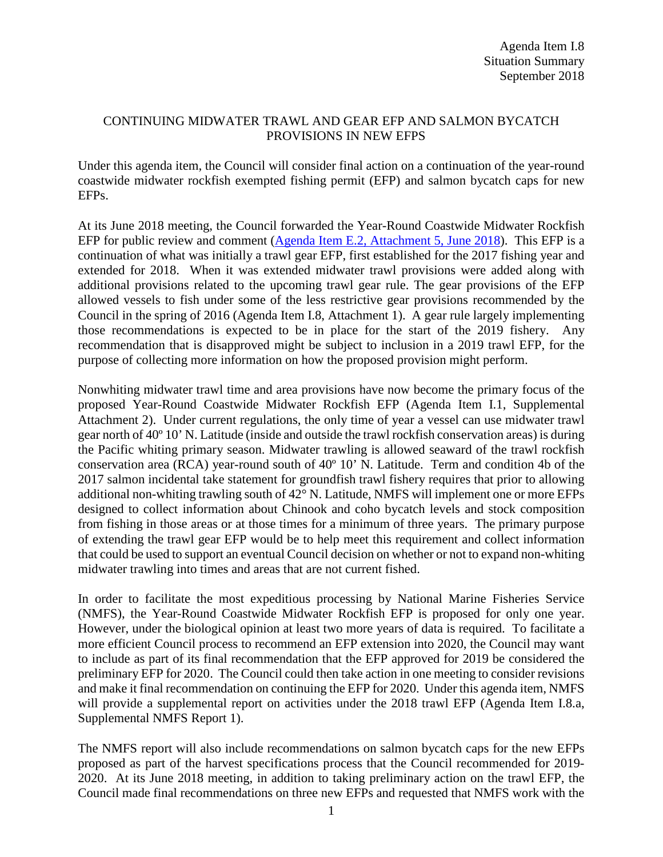## CONTINUING MIDWATER TRAWL AND GEAR EFP AND SALMON BYCATCH PROVISIONS IN NEW EFPS

Under this agenda item, the Council will consider final action on a continuation of the year-round coastwide midwater rockfish exempted fishing permit (EFP) and salmon bycatch caps for new EFPs.

At its June 2018 meeting, the Council forwarded the Year-Round Coastwide Midwater Rockfish EFP for public review and comment [\(Agenda Item E.2, Attachment 5, June 2018\)](https://www.pcouncil.org/wp-content/uploads/2018/05/E2_Att5_MWT_Draft.5.11.2018_Jun2018BB.pdf). This EFP is a continuation of what was initially a trawl gear EFP, first established for the 2017 fishing year and extended for 2018. When it was extended midwater trawl provisions were added along with additional provisions related to the upcoming trawl gear rule. The gear provisions of the EFP allowed vessels to fish under some of the less restrictive gear provisions recommended by the Council in the spring of 2016 (Agenda Item I.8, Attachment 1). A gear rule largely implementing those recommendations is expected to be in place for the start of the 2019 fishery. Any recommendation that is disapproved might be subject to inclusion in a 2019 trawl EFP, for the purpose of collecting more information on how the proposed provision might perform.

Nonwhiting midwater trawl time and area provisions have now become the primary focus of the proposed Year-Round Coastwide Midwater Rockfish EFP (Agenda Item I.1, Supplemental Attachment 2). Under current regulations, the only time of year a vessel can use midwater trawl gear north of 40º 10' N. Latitude (inside and outside the trawl rockfish conservation areas) is during the Pacific whiting primary season. Midwater trawling is allowed seaward of the trawl rockfish conservation area (RCA) year-round south of 40º 10' N. Latitude. Term and condition 4b of the 2017 salmon incidental take statement for groundfish trawl fishery requires that prior to allowing additional non-whiting trawling south of 42° N. Latitude, NMFS will implement one or more EFPs designed to collect information about Chinook and coho bycatch levels and stock composition from fishing in those areas or at those times for a minimum of three years. The primary purpose of extending the trawl gear EFP would be to help meet this requirement and collect information that could be used to support an eventual Council decision on whether or not to expand non-whiting midwater trawling into times and areas that are not current fished.

In order to facilitate the most expeditious processing by National Marine Fisheries Service (NMFS), the Year-Round Coastwide Midwater Rockfish EFP is proposed for only one year. However, under the biological opinion at least two more years of data is required. To facilitate a more efficient Council process to recommend an EFP extension into 2020, the Council may want to include as part of its final recommendation that the EFP approved for 2019 be considered the preliminary EFP for 2020. The Council could then take action in one meeting to consider revisions and make it final recommendation on continuing the EFP for 2020. Under this agenda item, NMFS will provide a supplemental report on activities under the 2018 trawl EFP (Agenda Item I.8.a, Supplemental NMFS Report 1).

The NMFS report will also include recommendations on salmon bycatch caps for the new EFPs proposed as part of the harvest specifications process that the Council recommended for 2019- 2020. At its June 2018 meeting, in addition to taking preliminary action on the trawl EFP, the Council made final recommendations on three new EFPs and requested that NMFS work with the